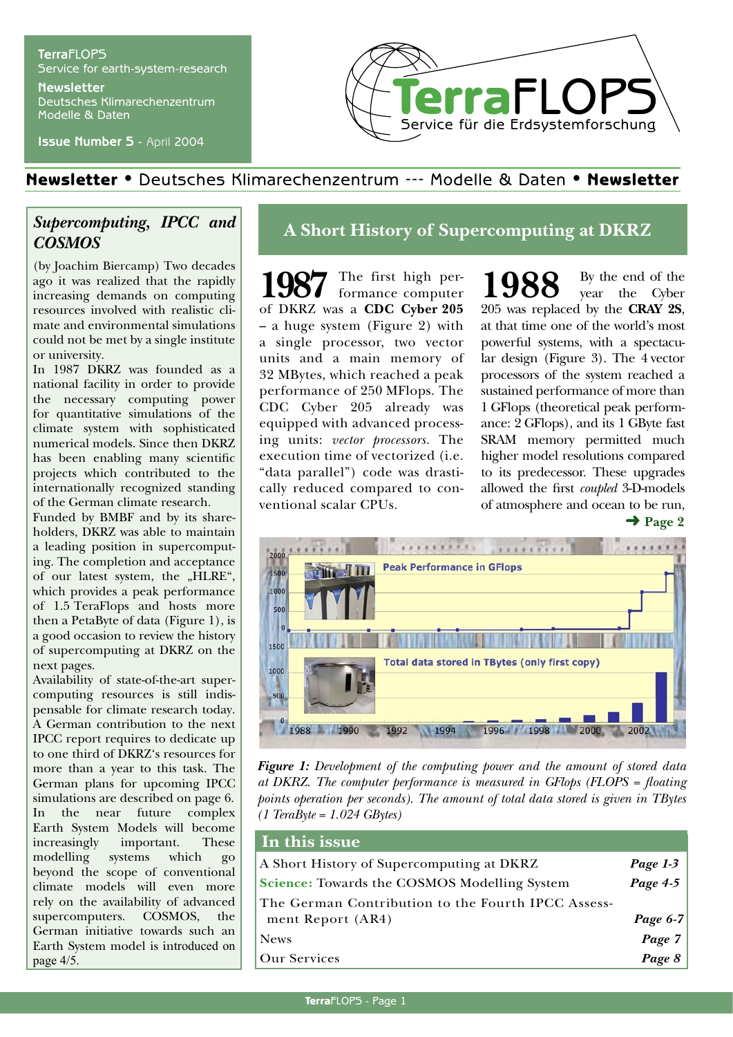## **Terra**FLOPS Service for earth-system-research **Newsletter**

Deutsches Klimarechenzentrum Modelle & Daten

**Issue Number 5** - April 2004



## Newsletter • Deutsches Klimarechenzentrum --- Modelle & Daten • Newsletter

## *Supercomputing, IPCC and COSMOS*

(by Joachim Biercamp) Two decades ago it was realized that the rapidly increasing demands on computing resources involved with realistic climate and environmental simulations could not be met by a single institute or university.

In 1987 DKRZ was founded as a national facility in order to provide the necessary computing power for quantitative simulations of the climate system with sophisticated numerical models. Since then DKRZ has been enabling many scientific projects which contributed to the internationally recognized standing of the German climate research.

Funded by BMBF and by its shareholders, DKRZ was able to maintain a leading position in supercomputing. The completion and acceptance of our latest system, the "HLRE", which provides a peak performance of 1.5 TeraFlops and hosts more then a PetaByte of data (Figure 1), is a good occasion to review the history of supercomputing at DKRZ on the next pages.

Availability of state-of-the-art supercomputing resources is still indispensable for climate research today. A German contribution to the next IPCC report requires to dedicate up to one third of DKRZ's resources for more than a year to this task. The German plans for upcoming IPCC simulations are described on page 6. In the near future complex Earth System Models will become increasingly important. These modelling systems which go beyond the scope of conventional climate models will even more rely on the availability of advanced supercomputers. COSMOS, the German initiative towards such an Earth System model is introduced on page 4/5.

## **A Short History of Supercomputing at DKRZ**

1987 The first high performance computer of DKRZ was a **CDC Cyber 205** – a huge system (Figure 2) with a single processor, two vector units and a main memory of 32 MBytes, which reached a peak performance of 250 MFlops. The CDC Cyber 205 already was equipped with advanced processing units: *vector processors.* The execution time of vectorized (i.e. "data parallel") code was drastically reduced compared to conventional scalar CPUs.

 $\rightarrow$  Page 2 1988 By the end of the year the Cyber 205 was replaced by the **CRAY 2S**, at that time one of the world's most powerful systems, with a spectacular design (Figure 3). The 4 vector processors of the system reached a sustained performance of more than 1 GFlops (theoretical peak performance: 2 GFlops), and its 1 GByte fast SRAM memory permitted much higher model resolutions compared to its predecessor. These upgrades allowed the first *coupled* 3-D-models of atmosphere and ocean to be run,



*Figure 1: Development of the computing power and the amount of stored data at DKRZ. The computer performance is measured in GFlops (FLOPS = floating points operation per seconds). The amount of total data stored is given in TBytes (1 TeraByte = 1.024 GBytes)*

| In this issue                                                           |                                                                         |
|-------------------------------------------------------------------------|-------------------------------------------------------------------------|
| A Short History of Supercomputing at DKRZ                               | Page 1-3                                                                |
| <b>Science:</b> Towards the COSMOS Modelling System                     | $Page\ 4.5$                                                             |
| The German Contribution to the Fourth IPCC Assess-<br>ment Report (AR4) |                                                                         |
| <b>News</b>                                                             | $\begin{array}{c c} Page\ 6\text{-}7 & \\ \hline Page\ 7 & \end{array}$ |
| <b>Our Services</b>                                                     | Page 8                                                                  |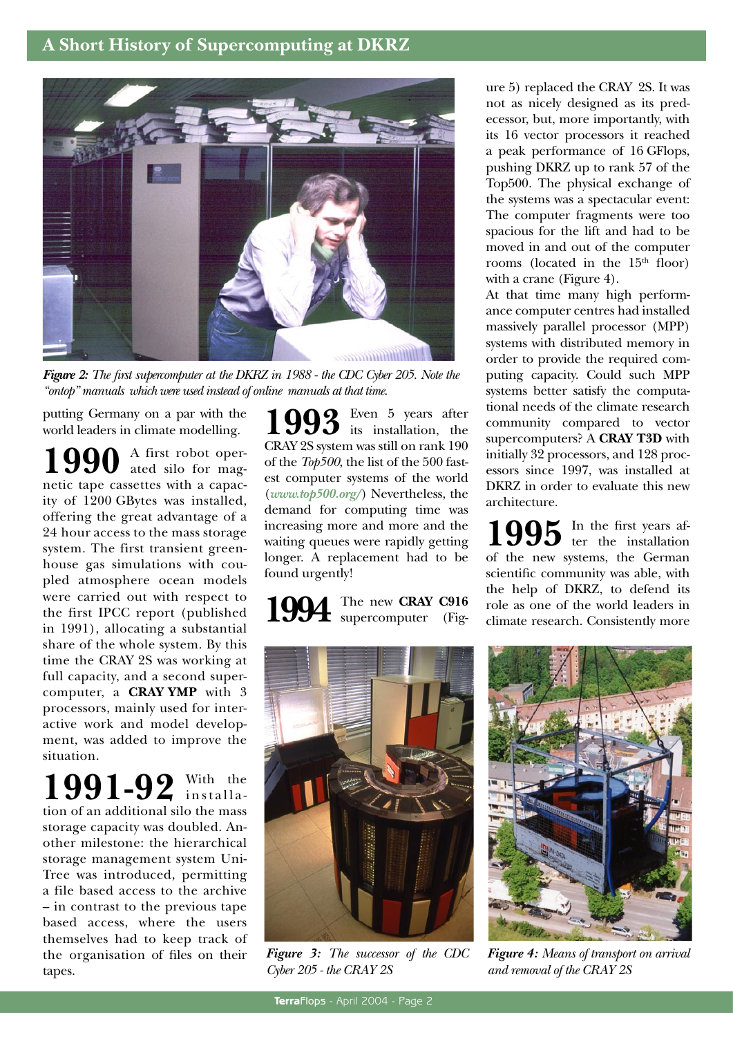## **A Short History of Supercomputing at DKRZ**



*Figure 2: The first supercomputer at the DKRZ in 1988 - the CDC Cyber 205. Note the "ontop" manuals which were used instead of online manuals at that time.*

putting Germany on a par with the world leaders in climate modelling.

1990 A first robot opernetic tape cassettes with a capacity of 1200 GBytes was installed, offering the great advantage of a 24 hour access to the mass storage system. The first transient greenhouse gas simulations with coupled atmosphere ocean models were carried out with respect to the first IPCC report (published in 1991), allocating a substantial share of the whole system. By this time the CRAY 2S was working at full capacity, and a second supercomputer, a **CRAY YMP** with 3 processors, mainly used for interactive work and model development, was added to improve the situation.

1991-92 With the tion of an additional silo the mass storage capacity was doubled. Another milestone: the hierarchical storage management system Uni-Tree was introduced, permitting a file based access to the archive – in contrast to the previous tape based access, where the users themselves had to keep track of the organisation of files on their tapes.

1993<sup>Even 5</sup> years after<br> **1993** its installation, the CRAY 2S system was still on rank 190 of the *Top500*, the list of the 500 fastest computer systems of the world (*www.top500.org/*) Nevertheless, the demand for computing time was increasing more and more and the waiting queues were rapidly getting longer. A replacement had to be found urgently!

1994 The new CRAY C916 supercomputer (Figsupercomputer (Fig-



*Figure 3: The successor of the CDC Cyber 205 - the CRAY 2S*

ure 5) replaced the CRAY 2S. It was not as nicely designed as its predecessor, but, more importantly, with its 16 vector processors it reached a peak performance of 16 GFlops, pushing DKRZ up to rank 57 of the Top500. The physical exchange of the systems was a spectacular event: The computer fragments were too spacious for the lift and had to be moved in and out of the computer rooms (located in the  $15<sup>th</sup>$  floor) with a crane (Figure 4).

At that time many high performance computer centres had installed massively parallel processor (MPP) systems with distributed memory in order to provide the required computing capacity. Could such MPP systems better satisfy the computational needs of the climate research community compared to vector supercomputers? A **CRAY T3D** with initially 32 processors, and 128 processors since 1997, was installed at DKRZ in order to evaluate this new architecture.

1995 In the first years afof the new systems, the German scientific community was able, with the help of DKRZ, to defend its role as one of the world leaders in climate research. Consistently more



*Figure 4: Means of transport on arrival and removal of the CRAY 2S*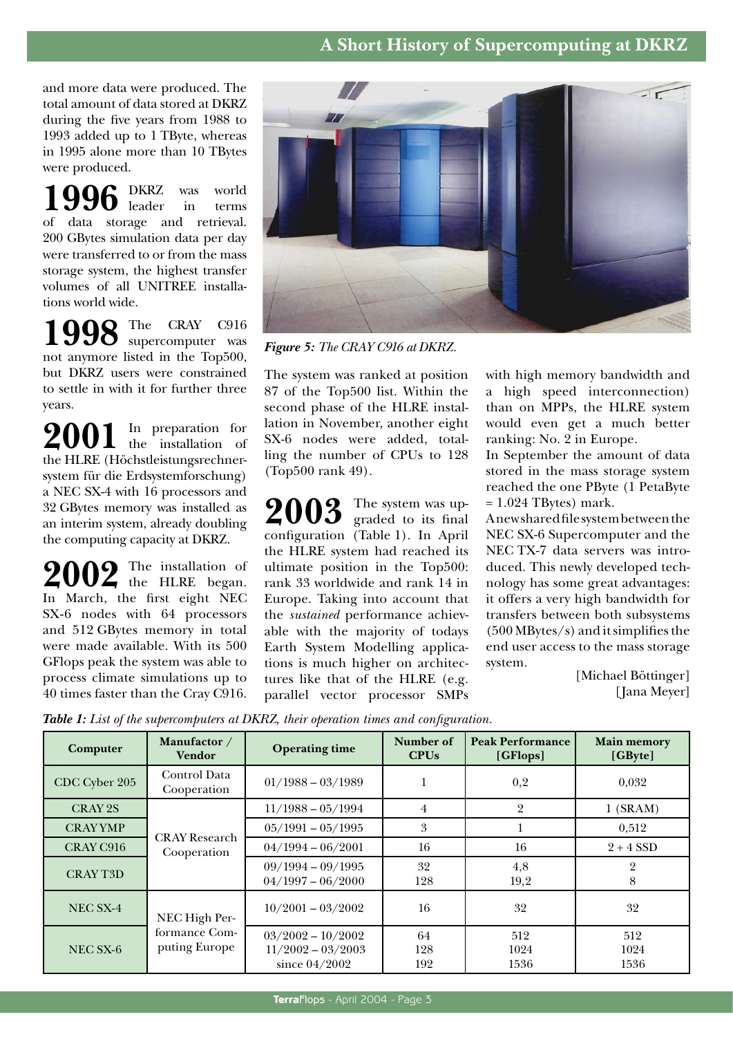## **A Short History of Supercomputing at DKRZ**

and more data were produced. The total amount of data stored at DKRZ during the five years from 1988 to 1993 added up to 1 TByte, whereas in 1995 alone more than 10 TBytes were produced.

1996 DKRZ was world leader in terms of data storage and retrieval. 200 GBytes simulation data per day were transferred to or from the mass storage system, the highest transfer volumes of all UNITREE installations world wide.

**998** The CRAY C916 supercomputer was supercomputer was not anymore listed in the Top500, but DKRZ users were constrained to settle in with it for further three years.

2001 In preparation for the HLRE (Höchstleistungsrechnersystem für die Erdsystemforschung) a NEC SX-4 with 16 processors and 32 GBytes memory was installed as an interim system, already doubling the computing capacity at DKRZ.

2002 The installation of In March, the first eight NEC SX-6 nodes with 64 processors and 512 GBytes memory in total were made available. With its 500 GFlops peak the system was able to process climate simulations up to 40 times faster than the Cray C916.



*Figure 5: The CRAY C916 at DKRZ.*

The system was ranked at position 87 of the Top500 list. Within the second phase of the HLRE installation in November, another eight SX-6 nodes were added, totalling the number of CPUs to 128 (Top500 rank 49).

2003 The system was upconfiguration (Table 1). In April the HLRE system had reached its ultimate position in the Top500: rank 33 worldwide and rank 14 in Europe. Taking into account that the *sustained* performance achievable with the majority of todays Earth System Modelling applications is much higher on architectures like that of the HLRE (e.g. parallel vector processor SMPs

with high memory bandwidth and a high speed interconnection) than on MPPs, the HLRE system would even get a much better ranking: No. 2 in Europe.

In September the amount of data stored in the mass storage system reached the one PByte (1 PetaByte  $= 1.024$  TBytes) mark.

A new shared file system between the NEC SX-6 Supercomputer and the NEC TX-7 data servers was introduced. This newly developed technology has some great advantages: it offers a very high bandwidth for transfers between both subsystems (500 MBytes/s) and it simplifies the end user access to the mass storage system.

[Michael Böttinger] [Jana Meyer]

*Table 1: List of the supercomputers at DKRZ, their operation times and configuration.* 

|                 |                                                 |                                                               | ◡                        |                                     |                               |
|-----------------|-------------------------------------------------|---------------------------------------------------------------|--------------------------|-------------------------------------|-------------------------------|
| Computer        | Manufactor /<br><b>Vendor</b>                   | <b>Operating time</b>                                         | <b>Number of</b><br>CPUs | <b>Peak Performance</b><br>[GFlops] | <b>Main memory</b><br>[GByte] |
| CDC Cyber 205   | Control Data<br>Cooperation                     | $01/1988 - 03/1989$                                           |                          | 0,2                                 | 0,032                         |
| CRAY 2S         | <b>CRAY Research</b><br>Cooperation             | $11/1988 - 05/1994$                                           | $\overline{4}$           | $\overline{2}$                      | $1$ (SRAM)                    |
| <b>CRAYYMP</b>  |                                                 | $05/1991 - 05/1995$                                           | 3                        |                                     | 0,512                         |
| CRAY C916       |                                                 | $04/1994 - 06/2001$                                           | 16                       | 16                                  | $2 + 4$ SSD                   |
| <b>CRAY T3D</b> |                                                 | $09/1994 - 09/1995$<br>$04/1997 - 06/2000$                    | 32<br>128                | 4,8<br>19,2                         | റ<br>8                        |
| NEC SX-4        | NEC High Per-<br>formance Com-<br>puting Europe | $10/2001 - 03/2002$                                           | 16                       | 32                                  | 32                            |
| NEC SX-6        |                                                 | $03/2002 - 10/2002$<br>$11/2002 - 03/2003$<br>since $04/2002$ | 64<br>128<br>192         | 512<br>1024<br>1536                 | 512<br>1024<br>1536           |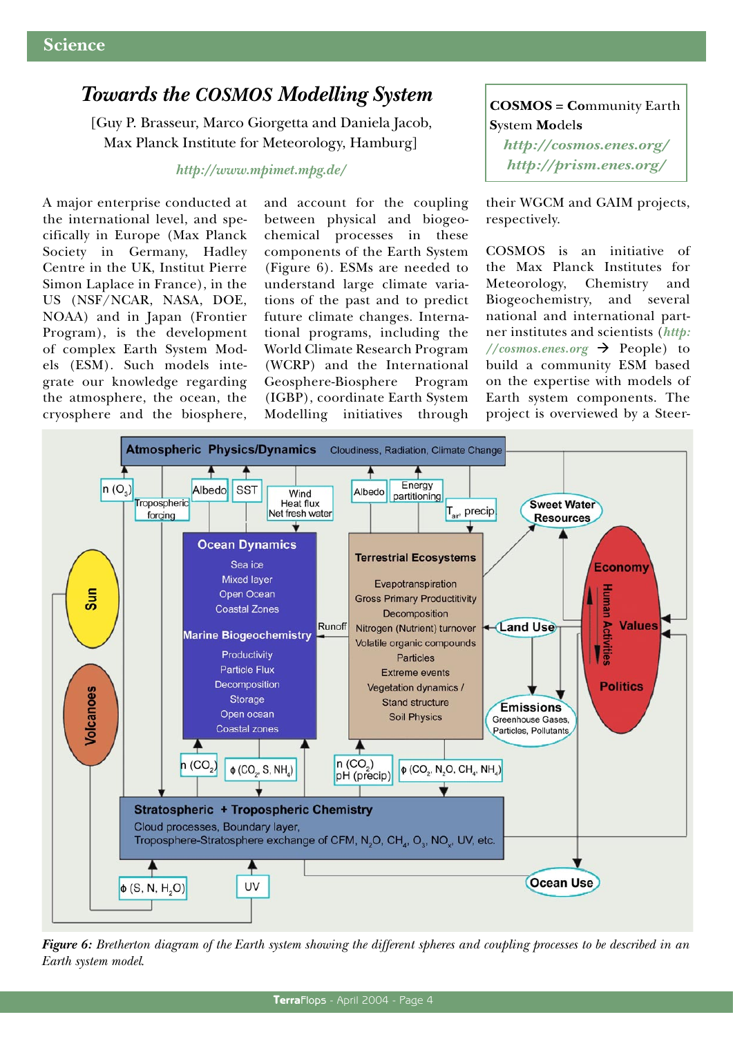## *Towards the COSMOS Modelling System*

[Guy P. Brasseur, Marco Giorgetta and Daniela Jacob, Max Planck Institute for Meteorology, Hamburg]

#### *http://www.mpimet.mpg.de/*

A major enterprise conducted at the international level, and specifically in Europe (Max Planck Society in Germany, Hadley Centre in the UK, Institut Pierre Simon Laplace in France), in the US (NSF/NCAR, NASA, DOE, NOAA) and in Japan (Frontier Program), is the development of complex Earth System Models (ESM). Such models integrate our knowledge regarding the atmosphere, the ocean, the cryosphere and the biosphere, and account for the coupling between physical and biogeochemical processes in these components of the Earth System (Figure 6). ESMs are needed to understand large climate variations of the past and to predict future climate changes. International programs, including the World Climate Research Program (WCRP) and the International Geosphere-Biosphere Program (IGBP), coordinate Earth System Modelling initiatives through

**COSMOS = Co**mmunity Earth **S**ystem **Mo**del**s** *http://cosmos.enes.org/ http://prism.enes.org/*

their WGCM and GAIM projects, respectively.

COSMOS is an initiative of the Max Planck Institutes for Meteorology, Chemistry and Biogeochemistry, and several national and international partner institutes and scientists (*http:*  $// \textit{cosmos.enes.org}$   $\rightarrow$  People) to build a community ESM based on the expertise with models of Earth system components. The project is overviewed by a Steer-



*Figure 6: Bretherton diagram of the Earth system showing the different spheres and coupling processes to be described in an Earth system model*.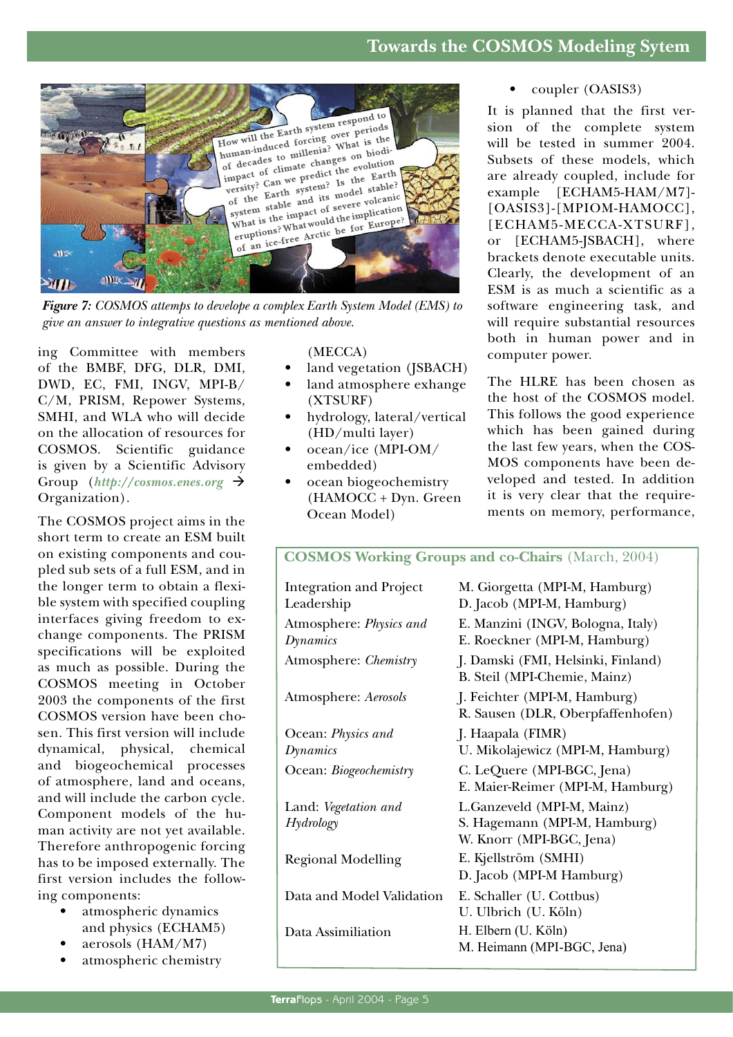

*Figure 7: COSMOS attemps to develope a complex Earth System Model (EMS) to give an answer to integrative questions as mentioned above.* 

ing Committee with members of the BMBF, DFG, DLR, DMI, DWD, EC, FMI, INGV, MPI-B/ C/M, PRISM, Repower Systems, SMHI, and WLA who will decide on the allocation of resources for COSMOS. Scientific guidance is given by a Scientific Advisory Group  $(http://cosmos.enes.org \rightarrow$ Organization).

The COSMOS project aims in the short term to create an ESM built on existing components and coupled sub sets of a full ESM, and in the longer term to obtain a flexible system with specified coupling interfaces giving freedom to exchange components. The PRISM specifications will be exploited as much as possible. During the COSMOS meeting in October 2003 the components of the first COSMOS version have been chosen. This first version will include dynamical, physical, chemical and biogeochemical processes of atmosphere, land and oceans, and will include the carbon cycle. Component models of the human activity are not yet available. Therefore anthropogenic forcing has to be imposed externally. The first version includes the following components:

- atmospheric dynamics and physics (ECHAM5)
- aerosols (HAM/M7)
- atmospheric chemistry

#### (MECCA)

- land vegetation (JSBACH)
- land atmosphere exhange (XTSURF)
- hydrology, lateral/vertical (HD/multi layer)
- ocean/ice (MPI-OM/ embedded)
- ocean biogeochemistry (HAMOCC + Dyn. Green Ocean Model)

#### • coupler (OASIS3)

It is planned that the first version of the complete system will be tested in summer 2004. Subsets of these models, which are already coupled, include for example [ECHAM5-HAM/M7]- [OASIS3]-[MPIOM-HAMOCC], [ECHAM5-MECCA-XTSURF], or [ECHAM5-JSBACH], where brackets denote executable units. Clearly, the development of an ESM is as much a scientific as a software engineering task, and will require substantial resources both in human power and in computer power.

The HLRE has been chosen as the host of the COSMOS model. This follows the good experience which has been gained during the last few years, when the COS-MOS components have been developed and tested. In addition it is very clear that the requirements on memory, performance,

#### **COSMOS Working Groups and co-Chairs** (March, 2004) Integration and Project Leadership M. Giorgetta (MPI-M, Hamburg) D. Jacob (MPI-M, Hamburg) Atmosphere: *Physics and Dynamics* E. Manzini (INGV, Bologna, Italy) E. Roeckner (MPI-M, Hamburg) Atmosphere: *Chemistry* J. Damski (FMI, Helsinki, Finland) B. Steil (MPI-Chemie, Mainz) Atmosphere: *Aerosols* J. Feichter (MPI-M, Hamburg) R. Sausen (DLR, Oberpfaffenhofen) Ocean: *Physics and Dynamics* J. Haapala (FIMR) U. Mikolajewicz (MPI-M, Hamburg) Ocean: *Biogeochemistry* C. LeQuere (MPI-BGC, Jena) E. Maier-Reimer (MPI-M, Hamburg) Land: *Vegetation and Hydrology* Regional Modelling L.Ganzeveld (MPI-M, Mainz) S. Hagemann (MPI-M, Hamburg) W. Knorr (MPI-BGC, Jena) E. Kjellström (SMHI) D. Jacob (MPI-M Hamburg) Data and Model Validation E. Schaller (U. Cottbus) U. Ulbrich (U. Köln) Data Assimiliation H. Elbern (U. Köln) M. Heimann (MPI-BGC, Jena)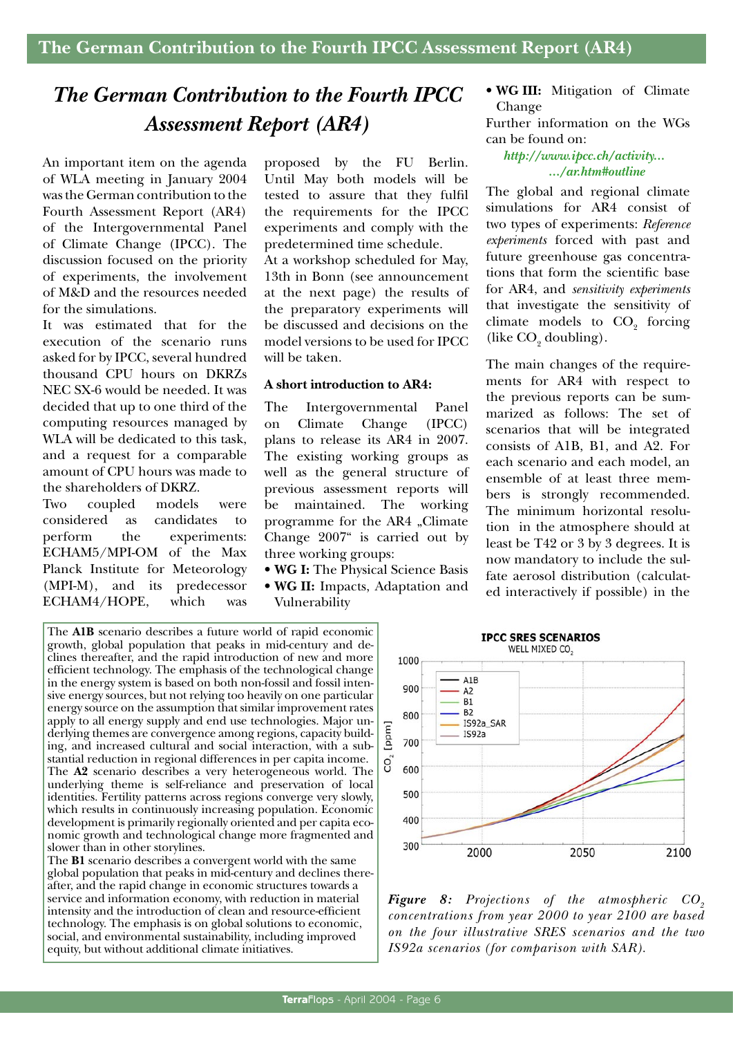## *The German Contribution to the Fourth IPCC Assessment Report (AR4)*

An important item on the agenda of WLA meeting in January 2004 was the German contribution to the Fourth Assessment Report (AR4) of the Intergovernmental Panel of Climate Change (IPCC). The discussion focused on the priority of experiments, the involvement of M&D and the resources needed for the simulations.

It was estimated that for the execution of the scenario runs asked for by IPCC, several hundred thousand CPU hours on DKRZs NEC SX-6 would be needed. It was decided that up to one third of the computing resources managed by WLA will be dedicated to this task, and a request for a comparable amount of CPU hours was made to the shareholders of DKRZ.

Two coupled models were considered as candidates to perform the experiments: ECHAM5/MPI-OM of the Max Planck Institute for Meteorology (MPI-M), and its predecessor ECHAM4/HOPE, which was proposed by the FU Berlin. Until May both models will be tested to assure that they fulfil the requirements for the IPCC experiments and comply with the predetermined time schedule.

At a workshop scheduled for May, 13th in Bonn (see announcement at the next page) the results of the preparatory experiments will be discussed and decisions on the model versions to be used for IPCC will be taken.

#### **A short introduction to AR4:**

The Intergovernmental Panel on Climate Change (IPCC) plans to release its AR4 in 2007. The existing working groups as well as the general structure of previous assessment reports will be maintained. The working programme for the AR4 "Climate Change 2007" is carried out by three working groups:

- **WG I:** The Physical Science Basis
- **WG II:** Impacts, Adaptation and Vulnerability

The **A1B** scenario describes a future world of rapid economic growth, global population that peaks in mid-century and declines thereafter, and the rapid introduction of new and more efficient technology. The emphasis of the technological change in the energy system is based on both non-fossil and fossil intensive energy sources, but not relying too heavily on one particular energy source on the assumption that similar improvement rates apply to all energy supply and end use technologies. Major underlying themes are convergence among regions, capacity building, and increased cultural and social interaction, with a substantial reduction in regional differences in per capita income. The **A2** scenario describes a very heterogeneous world. The underlying theme is self-reliance and preservation of local identities. Fertility patterns across regions converge very slowly, which results in continuously increasing population. Economic development is primarily regionally oriented and per capita economic growth and technological change more fragmented and slower than in other storylines.

The **B1** scenario describes a convergent world with the same global population that peaks in mid-century and declines thereafter, and the rapid change in economic structures towards a service and information economy, with reduction in material intensity and the introduction of clean and resource-efficient technology. The emphasis is on global solutions to economic, social, and environmental sustainability, including improved equity, but without additional climate initiatives.

• **WG III:** Mitigation of Climate Change

Further information on the WGs can be found on:

*http://www.ipcc.ch/activity... .../ar.htm#outline*

The global and regional climate simulations for AR4 consist of two types of experiments: *Reference experiments* forced with past and future greenhouse gas concentrations that form the scientific base for AR4, and *sensitivity experiments* that investigate the sensitivity of climate models to  $CO<sub>2</sub>$  forcing (like  $CO<sub>2</sub>$  doubling).

The main changes of the requirements for AR4 with respect to the previous reports can be summarized as follows: The set of scenarios that will be integrated consists of A1B, B1, and A2. For each scenario and each model, an ensemble of at least three members is strongly recommended. The minimum horizontal resolution in the atmosphere should at least be T42 or 3 by 3 degrees. It is now mandatory to include the sulfate aerosol distribution (calculated interactively if possible) in the



**Figure 8:** Projections of the atmospheric CO<sub>2</sub> *concentrations from year 2000 to year 2100 are based on the four illustrative SRES scenarios and the two IS92a scenarios (for comparison with SAR).*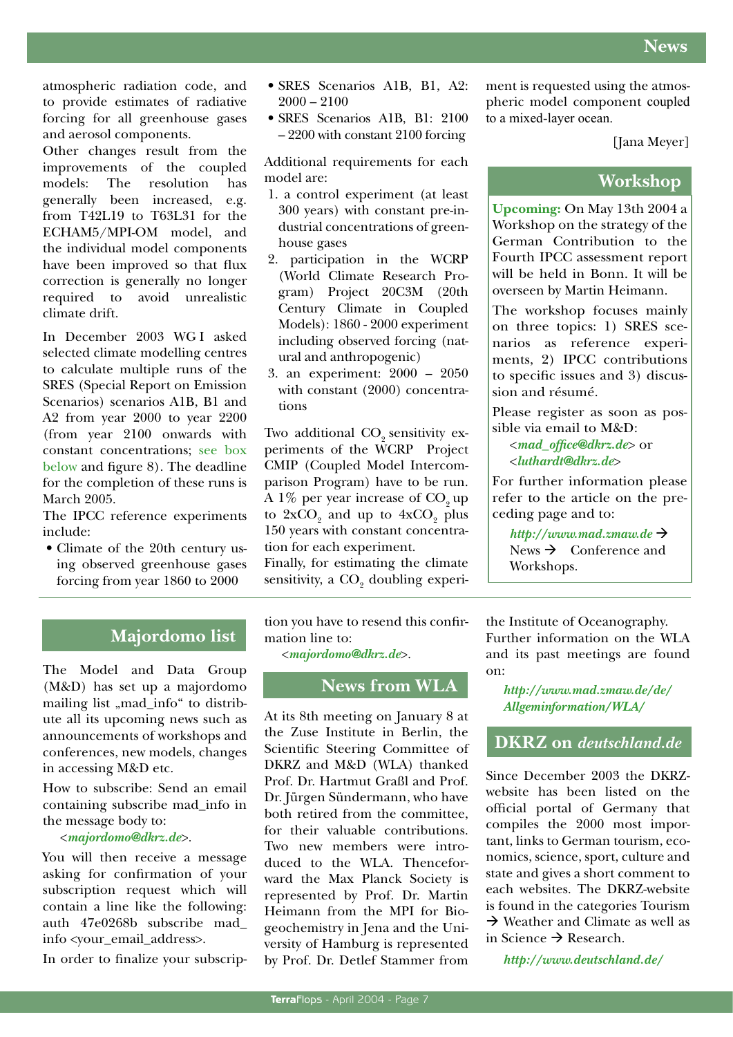atmospheric radiation code, and to provide estimates of radiative forcing for all greenhouse gases and aerosol components.

Other changes result from the improvements of the coupled models: The resolution has generally been increased, e.g. from T42L19 to T63L31 for the ECHAM5/MPI-OM model, and the individual model components have been improved so that flux correction is generally no longer required to avoid unrealistic climate drift.

In December 2003 WG I asked selected climate modelling centres to calculate multiple runs of the SRES (Special Report on Emission Scenarios) scenarios A1B, B1 and A2 from year 2000 to year 2200 (from year 2100 onwards with constant concentrations; see box below and figure 8). The deadline for the completion of these runs is March 2005.

The IPCC reference experiments include:

• Climate of the 20th century using observed greenhouse gases forcing from year 1860 to 2000

- SRES Scenarios A1B, B1, A2:  $2000 - 2100$
- SRES Scenarios A1B, B1: 2100 – 2200 with constant 2100 forcing

Additional requirements for each model are:

- 1. a control experiment (at least 300 years) with constant pre-industrial concentrations of greenhouse gases
- 2. participation in the WCRP (World Climate Research Program) Project 20C3M (20th Century Climate in Coupled Models): 1860 - 2000 experiment including observed forcing (natural and anthropogenic)
- 3. an experiment: 2000 2050 with constant (2000) concentrations

Two additional  $CO<sub>9</sub>$  sensitivity experiments of the WCRP Project CMIP (Coupled Model Intercomparison Program) have to be run. A  $1\%$  per year increase of  $CO<sub>9</sub>$  up to  $2xCO_2$  and up to  $4xCO_2$  plus 150 years with constant concentration for each experiment.

Finally, for estimating the climate sensitivity, a  $\mathrm{CO}_2^{}$  doubling experiment is requested using the atmospheric model component coupled to a mixed-layer ocean.

[Jana Meyer]

## **Workshop**

**Upcoming:** On May 13th 2004 a Workshop on the strategy of the German Contribution to the Fourth IPCC assessment report will be held in Bonn. It will be overseen by Martin Heimann.

The workshop focuses mainly on three topics: 1) SRES scenarios as reference experiments, 2) IPCC contributions to specific issues and 3) discussion and résumé.

Please register as soon as possible via email to M&D:

<*mad\_office@dkrz.de*> or <*luthardt@dkrz.de*>

For further information please refer to the article on the preceding page and to:

 $http://www.mad.zmaw.de \rightarrow$ News  $\rightarrow$  Conference and Workshops.

## **Majordomo list**

The Model and Data Group (M&D) has set up a majordomo mailing list "mad\_info" to distribute all its upcoming news such as announcements of workshops and conferences, new models, changes in accessing M&D etc.

How to subscribe: Send an email containing subscribe mad\_info in the message body to:

#### <*majordomo@dkrz.de*>.

You will then receive a message asking for confirmation of your subscription request which will contain a line like the following: auth 47e0268b subscribe mad\_ info <your\_email\_address>.

In order to finalize your subscrip-

tion you have to resend this confirmation line to:

<*majordomo@dkrz.de*>.

## **News from WLA**

At its 8th meeting on January 8 at the Zuse Institute in Berlin, the Scientific Steering Committee of DKRZ and M&D (WLA) thanked Prof. Dr. Hartmut Graßl and Prof. Dr. Jürgen Sündermann, who have both retired from the committee, for their valuable contributions. Two new members were introduced to the WLA. Thenceforward the Max Planck Society is represented by Prof. Dr. Martin Heimann from the MPI for Biogeochemistry in Jena and the University of Hamburg is represented by Prof. Dr. Detlef Stammer from

the Institute of Oceanography. Further information on the WLA and its past meetings are found on:

*http://www.mad.zmaw.de/de/ Allgeminformation/WLA/*

**DKRZ on** *deutschland.de*

Since December 2003 the DKRZwebsite has been listed on the official portal of Germany that compiles the 2000 most important, links to German tourism, economics, science, sport, culture and state and gives a short comment to each websites. The DKRZ-website is found in the categories Tourism  $\rightarrow$  Weather and Climate as well as in Science  $\rightarrow$  Research.

*http://www.deutschland.de/*